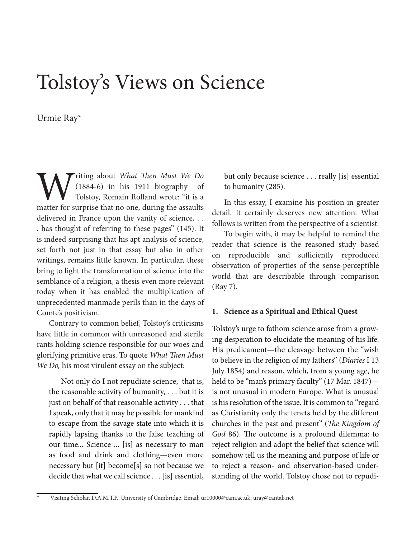# Tolstoy's Views on Science

Urmie Ray\*

**Titing about** *What Then Must We Do*<br>(1884-6) in his 1911 biography of  $(1884-6)$  in his 1911 biography Tolstoy, Romain Rolland wrote: "it is a matter for surprise that no one, during the assaults delivered in France upon the vanity of science, . . . has thought of referring to these pages" (145). It is indeed surprising that his apt analysis of science, set forth not just in that essay but also in other writings, remains little known. In particular, these bring to light the transformation of science into the semblance of a religion, a thesis even more relevant today when it has enabled the multiplication of unprecedented manmade perils than in the days of Comte's positivism.

Contrary to common belief, Tolstoy's criticisms have little in common with unreasoned and sterile rants holding science responsible for our woes and glorifying primitive eras. To quote *What Then Must We Do,* his most virulent essay on the subject:

Not only do I not repudiate science, that is, the reasonable activity of humanity, . . . but it is just on behalf of that reasonable activity . . . that I speak, only that it may be possible for mankind to escape from the savage state into which it is rapidly lapsing thanks to the false teaching of our time... Science ... [is] as necessary to man as food and drink and clothing—even more necessary but [it] become[s] so not because we decide that what we call science . . . [is] essential, but only because science . . . really [is] essential to humanity (285).

In this essay, I examine his position in greater detail. It certainly deserves new attention. What follows is written from the perspective of a scientist.

To begin with, it may be helpful to remind the reader that science is the reasoned study based on reproducible and sufficiently reproduced observation of properties of the sense-perceptible world that are describable through comparison (Ray 7).

#### **1. Science as a Spiritual and Ethical Quest**

Tolstoy's urge to fathom science arose from a growing desperation to elucidate the meaning of his life. His predicament—the cleavage between the "wish to believe in the religion of my fathers" (*Diaries* I 13 July 1854) and reason, which, from a young age, he held to be "man's primary faculty" (17 Mar. 1847) is not unusual in modern Europe. What is unusual is his resolution of the issue. It is common to "regard as Christianity only the tenets held by the different churches in the past and present" (*The Kingdom of God* 86). The outcome is a profound dilemma: to reject religion and adopt the belief that science will somehow tell us the meaning and purpose of life or to reject a reason- and observation-based understanding of the world. Tolstoy chose not to repudi-

Visiting Scholar, D.A.M.T.P., University of Cambridge, Email: ur10000@cam.ac.uk; uray@cantab.net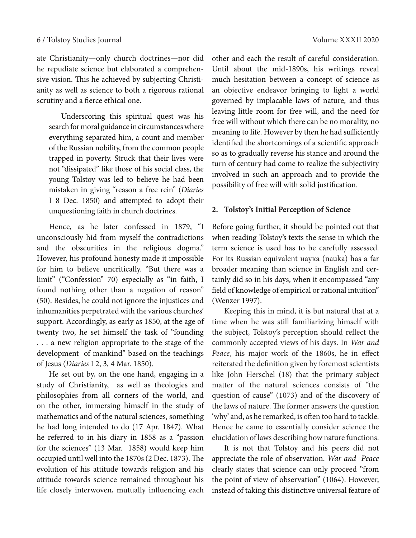ate Christianity—only church doctrines—nor did he repudiate science but elaborated a comprehensive vision. This he achieved by subjecting Christianity as well as science to both a rigorous rational scrutiny and a fierce ethical one.

Underscoring this spiritual quest was his search for moral guidance in circumstances where everything separated him, a count and member of the Russian nobility, from the common people trapped in poverty. Struck that their lives were not "dissipated" like those of his social class, the young Tolstoy was led to believe he had been mistaken in giving "reason a free rein" (*Diaries* I 8 Dec. 1850) and attempted to adopt their unquestioning faith in church doctrines.

Hence, as he later confessed in 1879, "I unconsciously hid from myself the contradictions and the obscurities in the religious dogma." However, his profound honesty made it impossible for him to believe uncritically. "But there was a limit" ("Confession" 70) especially as "in faith, I found nothing other than a negation of reason" (50). Besides, he could not ignore the injustices and inhumanities perpetrated with the various churches' support. Accordingly, as early as 1850, at the age of twenty two, he set himself the task of "founding . . . a new religion appropriate to the stage of the development of mankind" based on the teachings of Jesus (*Diaries* I 2, 3, 4 Mar. 1850).

He set out by, on the one hand, engaging in a study of Christianity, as well as theologies and philosophies from all corners of the world, and on the other, immersing himself in the study of mathematics and of the natural sciences, something he had long intended to do (17 Apr. 1847). What he referred to in his diary in 1858 as a "passion for the sciences" (13 Mar. 1858) would keep him occupied until well into the 1870s (2 Dec. 1873). The evolution of his attitude towards religion and his attitude towards science remained throughout his life closely interwoven, mutually influencing each

other and each the result of careful consideration. Until about the mid-1890s, his writings reveal much hesitation between a concept of science as an objective endeavor bringing to light a world governed by implacable laws of nature, and thus leaving little room for free will, and the need for free will without which there can be no morality, no meaning to life. However by then he had sufficiently identified the shortcomings of a scientific approach so as to gradually reverse his stance and around the turn of century had come to realize the subjectivity involved in such an approach and to provide the possibility of free will with solid justification.

## **2. Tolstoy's Initial Perception of Science**

Before going further, it should be pointed out that when reading Tolstoy's texts the sense in which the term science is used has to be carefully assessed. For its Russian equivalent наука (nauka) has a far broader meaning than science in English and certainly did so in his days, when it encompassed "any field of knowledge of empirical or rational intuition" (Wenzer 1997).

Keeping this in mind, it is but natural that at a time when he was still familiarizing himself with the subject, Tolstoy's perception should reflect the commonly accepted views of his days. In *War and Peace*, his major work of the 1860s, he in effect reiterated the definition given by foremost scientists like John Herschel (18) that the primary subject matter of the natural sciences consists of "the question of cause" (1073) and of the discovery of the laws of nature. The former answers the question 'why' and, as he remarked, is often too hard to tackle. Hence he came to essentially consider science the elucidation of laws describing how nature functions.

It is not that Tolstoy and his peers did not appreciate the role of observation. *War and Peace*  clearly states that science can only proceed "from the point of view of observation" (1064). However, instead of taking this distinctive universal feature of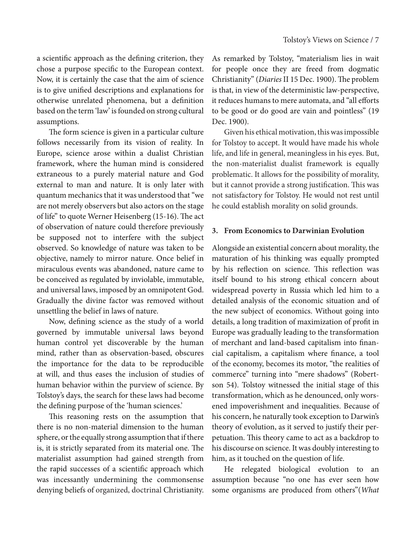a scientific approach as the defining criterion, they chose a purpose specific to the European context. Now, it is certainly the case that the aim of science is to give unified descriptions and explanations for otherwise unrelated phenomena, but a definition based on the term 'law' is founded on strong cultural assumptions.

The form science is given in a particular culture follows necessarily from its vision of reality. In Europe, science arose within a dualist Christian framework, where the human mind is considered extraneous to a purely material nature and God external to man and nature. It is only later with quantum mechanics that it was understood that "we are not merely observers but also actors on the stage of life" to quote Werner Heisenberg (15-16). The act of observation of nature could therefore previously be supposed not to interfere with the subject observed. So knowledge of nature was taken to be objective, namely to mirror nature. Once belief in miraculous events was abandoned, nature came to be conceived as regulated by inviolable, immutable, and universal laws, imposed by an omnipotent God. Gradually the divine factor was removed without unsettling the belief in laws of nature.

Now, defining science as the study of a world governed by immutable universal laws beyond human control yet discoverable by the human mind, rather than as observation-based, obscures the importance for the data to be reproducible at will, and thus eases the inclusion of studies of human behavior within the purview of science. By Tolstoy's days, the search for these laws had become the defining purpose of the 'human sciences.'

This reasoning rests on the assumption that there is no non-material dimension to the human sphere, or the equally strong assumption that if there is, it is strictly separated from its material one. The materialist assumption had gained strength from the rapid successes of a scientific approach which was incessantly undermining the commonsense denying beliefs of organized, doctrinal Christianity.

As remarked by Tolstoy, "materialism lies in wait for people once they are freed from dogmatic Christianity" (*Diaries* II 15 Dec. 1900). The problem is that, in view of the deterministic law-perspective, it reduces humans to mere automata, and "all efforts to be good or do good are vain and pointless" (19 Dec. 1900).

Given his ethical motivation, this was impossible for Tolstoy to accept. It would have made his whole life, and life in general, meaningless in his eyes. But, the non-materialist dualist framework is equally problematic. It allows for the possibility of morality, but it cannot provide a strong justification. This was not satisfactory for Tolstoy. He would not rest until he could establish morality on solid grounds.

## **3. From Economics to Darwinian Evolution**

Alongside an existential concern about morality, the maturation of his thinking was equally prompted by his reflection on science. This reflection was itself bound to his strong ethical concern about widespread poverty in Russia which led him to a detailed analysis of the economic situation and of the new subject of economics. Without going into details, a long tradition of maximization of profit in Europe was gradually leading to the transformation of merchant and land-based capitalism into financial capitalism, a capitalism where finance, a tool of the economy, becomes its motor, "the realities of commerce" turning into "mere shadows" (Robertson 54). Tolstoy witnessed the initial stage of this transformation, which as he denounced, only worsened impoverishment and inequalities. Because of his concern, he naturally took exception to Darwin's theory of evolution, as it served to justify their perpetuation. This theory came to act as a backdrop to his discourse on science. It was doubly interesting to him, as it touched on the question of life.

He relegated biological evolution to an assumption because "no one has ever seen how some organisms are produced from others"(*What*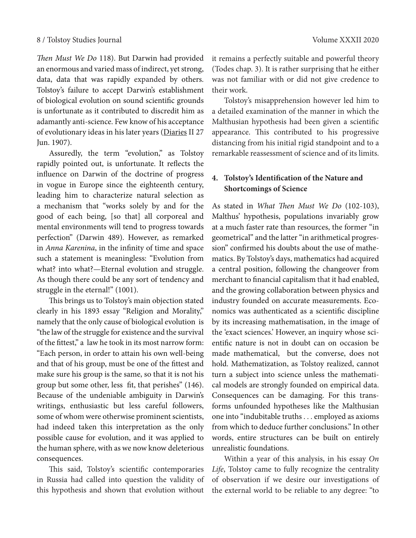*Then Must We Do* 118). But Darwin had provided an enormous and varied mass of indirect, yet strong, data, data that was rapidly expanded by others. Tolstoy's failure to accept Darwin's establishment of biological evolution on sound scientific grounds is unfortunate as it contributed to discredit him as adamantly anti-science. Few know of his acceptance of evolutionary ideas in his later years (Diaries II 27 Jun. 1907).

Assuredly, the term "evolution," as Tolstoy rapidly pointed out, is unfortunate. It reflects the influence on Darwin of the doctrine of progress in vogue in Europe since the eighteenth century, leading him to characterize natural selection as a mechanism that "works solely by and for the good of each being, [so that] all corporeal and mental environments will tend to progress towards perfection" (Darwin 489). However, as remarked in *Anna Karenina*, in the infinity of time and space such a statement is meaningless: "Evolution from what? into what?—Eternal evolution and struggle. As though there could be any sort of tendency and struggle in the eternal!" (1001).

This brings us to Tolstoy's main objection stated clearly in his 1893 essay "Religion and Morality," namely that the only cause of biological evolution is "the law of the struggle for existence and the survival of the fittest," a law he took in its most narrow form: "Each person, in order to attain his own well-being and that of his group, must be one of the fittest and make sure his group is the same, so that it is not his group but some other, less fit, that perishes" (146). Because of the undeniable ambiguity in Darwin's writings, enthusiastic but less careful followers, some of whom were otherwise prominent scientists, had indeed taken this interpretation as the only possible cause for evolution, and it was applied to the human sphere, with as we now know deleterious consequences.

This said, Tolstoy's scientific contemporaries in Russia had called into question the validity of this hypothesis and shown that evolution without

it remains a perfectly suitable and powerful theory (Todes chap. 3). It is rather surprising that he either was not familiar with or did not give credence to their work.

Tolstoy's misapprehension however led him to a detailed examination of the manner in which the Malthusian hypothesis had been given a scientific appearance. This contributed to his progressive distancing from his initial rigid standpoint and to a remarkable reassessment of science and of its limits.

# **4. Tolstoy's Identification of the Nature and Shortcomings of Science**

As stated in *What Then Must We Do* (102-103), Malthus' hypothesis, populations invariably grow at a much faster rate than resources, the former "in geometrical" and the latter "in arithmetical progression" confirmed his doubts about the use of mathematics. By Tolstoy's days, mathematics had acquired a central position, following the changeover from merchant to financial capitalism that it had enabled, and the growing collaboration between physics and industry founded on accurate measurements. Economics was authenticated as a scientific discipline by its increasing mathematisation, in the image of the 'exact sciences.' However, an inquiry whose scientific nature is not in doubt can on occasion be made mathematical, but the converse, does not hold. Mathematization, as Tolstoy realized, cannot turn a subject into science unless the mathematical models are strongly founded on empirical data. Consequences can be damaging. For this transforms unfounded hypotheses like the Malthusian one into "indubitable truths . . . employed as axioms from which to deduce further conclusions." In other words, entire structures can be built on entirely unrealistic foundations.

Within a year of this analysis, in his essay *On Life*, Tolstoy came to fully recognize the centrality of observation if we desire our investigations of the external world to be reliable to any degree: "to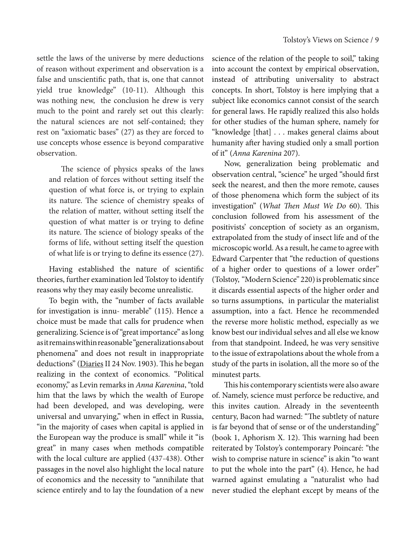settle the laws of the universe by mere deductions of reason without experiment and observation is a false and unscientific path, that is, one that cannot yield true knowledge" (10-11). Although this was nothing new, the conclusion he drew is very much to the point and rarely set out this clearly: the natural sciences are not self-contained; they rest on "axiomatic bases" (27) as they are forced to use concepts whose essence is beyond comparative observation.

The science of physics speaks of the laws and relation of forces without setting itself the question of what force is, or trying to explain its nature. The science of chemistry speaks of the relation of matter, without setting itself the question of what matter is or trying to define its nature. The science of biology speaks of the forms of life, without setting itself the question of what life is or trying to define its essence (27).

Having established the nature of scientific theories, further examination led Tolstoy to identify reasons why they may easily become unrealistic.

To begin with, the "number of facts available for investigation is innu- merable" (115). Hence a choice must be made that calls for prudence when generalizing. Science is of "great importance" as long as it remains within reasonable "generalizations about phenomena" and does not result in inappropriate deductions" (Diaries II 24 Nov. 1903). This he began realizing in the context of economics. "Political economy," as Levin remarks in *Anna Karenina*, "told him that the laws by which the wealth of Europe had been developed, and was developing, were universal and unvarying," when in effect in Russia, "in the majority of cases when capital is applied in the European way the produce is small" while it "is great" in many cases when methods compatible with the local culture are applied (437-438). Other passages in the novel also highlight the local nature of economics and the necessity to "annihilate that science entirely and to lay the foundation of a new

science of the relation of the people to soil," taking into account the context by empirical observation, instead of attributing universality to abstract concepts. In short, Tolstoy is here implying that a subject like economics cannot consist of the search for general laws. He rapidly realized this also holds for other studies of the human sphere, namely for "knowledge [that] . . . makes general claims about humanity after having studied only a small portion of it" (*Anna Karenina* 207).

Now, generalization being problematic and observation central, "science" he urged "should first seek the nearest, and then the more remote, causes of those phenomena which form the subject of its investigation" (*What Then Must We Do* 60). This conclusion followed from his assessment of the positivists' conception of society as an organism, extrapolated from the study of insect life and of the microscopic world. As a result, he came to agree with Edward Carpenter that "the reduction of questions of a higher order to questions of a lower order" (Tolstoy, "Modern Science" 220) is problematic since it discards essential aspects of the higher order and so turns assumptions, in particular the materialist assumption, into a fact. Hence he recommended the reverse more holistic method, especially as we know best our individual selves and all else we know from that standpoint. Indeed, he was very sensitive to the issue of extrapolations about the whole from a study of the parts in isolation, all the more so of the minutest parts.

This his contemporary scientists were also aware of. Namely, science must perforce be reductive, and this invites caution. Already in the seventeenth century, Bacon had warned: "The subtlety of nature is far beyond that of sense or of the understanding" (book 1, Aphorism X. 12). This warning had been reiterated by Tolstoy's contemporary Poincaré: "the wish to comprise nature in science" is akin "to want to put the whole into the part" (4). Hence, he had warned against emulating a "naturalist who had never studied the elephant except by means of the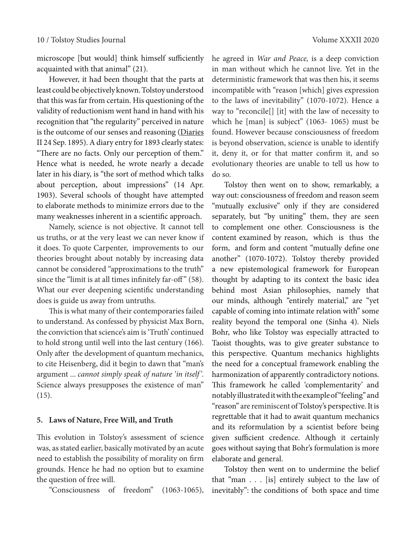microscope [but would] think himself sufficiently acquainted with that animal" (21).

However, it had been thought that the parts at least could be objectively known. Tolstoy understood that this was far from certain. His questioning of the validity of reductionism went hand in hand with his recognition that "the regularity" perceived in nature is the outcome of our senses and reasoning (Diaries II 24 Sep. 1895). A diary entry for 1893 clearly states: "There are no facts. Only our perception of them." Hence what is needed, he wrote nearly a decade later in his diary, is "the sort of method which talks about perception, about impressions" (14 Apr. 1903). Several schools of thought have attempted to elaborate methods to minimize errors due to the many weaknesses inherent in a scientific approach.

Namely, science is not objective. It cannot tell us truths, or at the very least we can never know if it does. To quote Carpenter, improvements to our theories brought about notably by increasing data cannot be considered "approximations to the truth" since the "limit is at all times infinitely far-off" (58). What our ever deepening scientific understanding does is guide us away from untruths.

This is what many of their contemporaries failed to understand. As confessed by physicist Max Born, the conviction that science's aim is 'Truth' continued to hold strong until well into the last century (166). Only after the development of quantum mechanics, to cite Heisenberg, did it begin to dawn that "man's argument ... *cannot simply speak of nature 'in itself'*. Science always presupposes the existence of man" (15).

#### **5. Laws of Nature, Free Will, and Truth**

This evolution in Tolstoy's assessment of science was, as stated earlier, basically motivated by an acute need to establish the possibility of morality on firm grounds. Hence he had no option but to examine the question of free will.

"Consciousness of freedom" (1063-1065),

he agreed in *War and Peace,* is a deep conviction in man without which he cannot live. Yet in the deterministic framework that was then his, it seems incompatible with "reason [which] gives expression to the laws of inevitability" (1070-1072). Hence a way to "reconcile[] [it] with the law of necessity to which he [man] is subject" (1063- 1065) must be found. However because consciousness of freedom is beyond observation, science is unable to identify it, deny it, or for that matter confirm it, and so evolutionary theories are unable to tell us how to do so.

Tolstoy then went on to show, remarkably, a way out: consciousness of freedom and reason seem "mutually exclusive" only if they are considered separately, but "by uniting" them, they are seen to complement one other. Consciousness is the content examined by reason, which is thus the form, and form and content "mutually define one another" (1070-1072). Tolstoy thereby provided a new epistemological framework for European thought by adapting to its context the basic idea behind most Asian philosophies, namely that our minds, although "entirely material," are "yet capable of coming into intimate relation with" some reality beyond the temporal one (Sinha 4). Niels Bohr, who like Tolstoy was especially attracted to Taoist thoughts, was to give greater substance to this perspective. Quantum mechanics highlights the need for a conceptual framework enabling the harmonization of apparently contradictory notions. This framework he called 'complementarity' and notably illustrated it with the example of "feeling" and "reason" are reminiscent of Tolstoy's perspective. It is regrettable that it had to await quantum mechanics and its reformulation by a scientist before being given sufficient credence. Although it certainly goes without saying that Bohr's formulation is more elaborate and general.

Tolstoy then went on to undermine the belief that "man . . . [is] entirely subject to the law of inevitably": the conditions of both space and time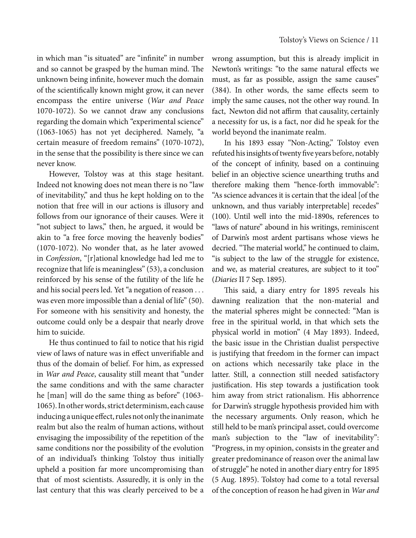in which man "is situated" are "infinite" in number and so cannot be grasped by the human mind. The unknown being infinite, however much the domain of the scientifically known might grow, it can never encompass the entire universe (*War and Peace*  1070-1072). So we cannot draw any conclusions regarding the domain which "experimental science" (1063-1065) has not yet deciphered. Namely, "a certain measure of freedom remains" (1070-1072), in the sense that the possibility is there since we can never know.

However, Tolstoy was at this stage hesitant. Indeed not knowing does not mean there is no "law of inevitability," and thus he kept holding on to the notion that free will in our actions is illusory and follows from our ignorance of their causes. Were it "not subject to laws," then, he argued, it would be akin to "a free force moving the heavenly bodies" (1070-1072). No wonder that, as he later avowed in *Confession*, "[r]ational knowledge had led me to recognize that life is meaningless" (53), a conclusion reinforced by his sense of the futility of the life he and his social peers led. Yet "a negation of reason . . . was even more impossible than a denial of life" (50). For someone with his sensitivity and honesty, the outcome could only be a despair that nearly drove him to suicide.

He thus continued to fail to notice that his rigid view of laws of nature was in effect unverifiable and thus of the domain of belief. For him, as expressed in *War and Peace*, causality still meant that "under the same conditions and with the same character he [man] will do the same thing as before" (1063-1065). In other words, strict determinism, each cause inducing a unique effect, rules not only the inanimate realm but also the realm of human actions, without envisaging the impossibility of the repetition of the same conditions nor the possibility of the evolution of an individual's thinking Tolstoy thus initially upheld a position far more uncompromising than that of most scientists. Assuredly, it is only in the last century that this was clearly perceived to be a

wrong assumption, but this is already implicit in Newton's writings: "to the same natural effects we must, as far as possible, assign the same causes" (384). In other words, the same effects seem to imply the same causes, not the other way round. In fact, Newton did not affirm that causality, certainly a necessity for us, is a fact, nor did he speak for the world beyond the inanimate realm.

In his 1893 essay "Non-Acting," Tolstoy even refuted his insights of twenty five years before, notably of the concept of infinity, based on a continuing belief in an objective science unearthing truths and therefore making them "hence-forth immovable": "As science advances it is certain that the ideal [of the unknown, and thus variably interpretable] recedes" (100). Until well into the mid-1890s, references to "laws of nature" abound in his writings, reminiscent of Darwin's most ardent partisans whose views he decried. "The material world," he continued to claim, "is subject to the law of the struggle for existence, and we, as material creatures, are subject to it too" (*Diaries* II 7 Sep. 1895).

This said, a diary entry for 1895 reveals his dawning realization that the non-material and the material spheres might be connected: "Man is free in the spiritual world, in that which sets the physical world in motion" (4 May 1893). Indeed, the basic issue in the Christian dualist perspective is justifying that freedom in the former can impact on actions which necessarily take place in the latter. Still, a connection still needed satisfactory justification. His step towards a justification took him away from strict rationalism. His abhorrence for Darwin's struggle hypothesis provided him with the necessary arguments. Only reason, which he still held to be man's principal asset, could overcome man's subjection to the "law of inevitability": "Progress, in my opinion, consists in the greater and greater predominance of reason over the animal law of struggle" he noted in another diary entry for 1895 (5 Aug. 1895). Tolstoy had come to a total reversal of the conception of reason he had given in *War and*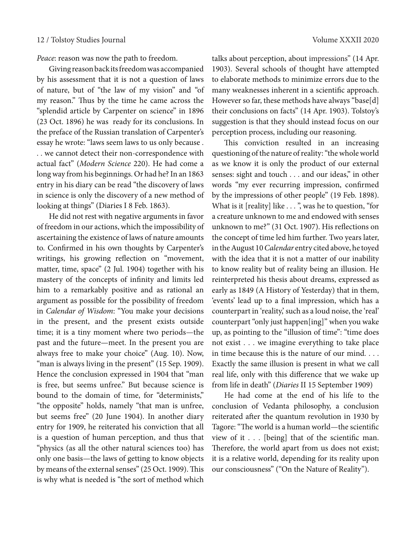*Peace*: reason was now the path to freedom.

Giving reason back its freedom was accompanied by his assessment that it is not a question of laws of nature, but of "the law of my vision" and "of my reason." Thus by the time he came across the "splendid article by Carpenter on science" in 1896 (23 Oct. 1896) he was ready for its conclusions. In the preface of the Russian translation of Carpenter's essay he wrote: "laws seem laws to us only because . . . we cannot detect their non-correspondence with actual fact" (*Modern Science* 220). He had come a long way from his beginnings. Or had he? In an 1863 entry in his diary can be read "the discovery of laws in science is only the discovery of a new method of looking at things" (Diaries I 8 Feb. 1863).

He did not rest with negative arguments in favor of freedom in our actions, which the impossibility of ascertaining the existence of laws of nature amounts to. Confirmed in his own thoughts by Carpenter's writings, his growing reflection on "movement, matter, time, space" (2 Jul. 1904) together with his mastery of the concepts of infinity and limits led him to a remarkably positive and as rational an argument as possible for the possibility of freedom in *Calendar of Wisdom*: "You make your decisions in the present, and the present exists outside time; it is a tiny moment where two periods—the past and the future—meet. In the present you are always free to make your choice" (Aug. 10). Now, "man is always living in the present" (15 Sep. 1909). Hence the conclusion expressed in 1904 that "man is free, but seems unfree." But because science is bound to the domain of time, for "determinists," "the opposite" holds, namely "that man is unfree, but seems free" (20 June 1904). In another diary entry for 1909, he reiterated his conviction that all is a question of human perception, and thus that "physics (as all the other natural sciences too) has only one basis—the laws of getting to know objects by means of the external senses" (25 Oct. 1909). This is why what is needed is "the sort of method which

talks about perception, about impressions'' (14 Apr. 1903). Several schools of thought have attempted to elaborate methods to minimize errors due to the many weaknesses inherent in a scientific approach. However so far, these methods have always "base[d] their conclusions on facts" (14 Apr. 1903). Tolstoy's suggestion is that they should instead focus on our perception process, including our reasoning.

This conviction resulted in an increasing questioning of the nature of reality: "the whole world as we know it is only the product of our external senses: sight and touch . . . and our ideas," in other words "my ever recurring impression, confirmed by the impressions of other people" (19 Feb. 1898). What is it [reality] like . . . ", was he to question, "for a creature unknown to me and endowed with senses unknown to me?" (31 Oct. 1907). His reflections on the concept of time led him further. Two years later, in the August 10 *Calendar* entry cited above, he toyed with the idea that it is not a matter of our inability to know reality but of reality being an illusion. He reinterpreted his thesis about dreams, expressed as early as 1849 (A History of Yesterday) that in them, 'events' lead up to a final impression, which has a counterpart in 'reality,' such as a loud noise, the 'real' counterpart "only just happen[ing]" when you wake up, as pointing to the "illusion of time": "time does not exist . . . we imagine everything to take place in time because this is the nature of our mind. . . . Exactly the same illusion is present in what we call real life, only with this difference that we wake up from life in death" (*Diaries* II 15 September 1909)

He had come at the end of his life to the conclusion of Vedanta philosophy, a conclusion reiterated after the quantum revolution in 1930 by Tagore: "The world is a human world—the scientific view of it . . . [being] that of the scientific man. Therefore, the world apart from us does not exist; it is a relative world, depending for its reality upon our consciousness" ("On the Nature of Reality").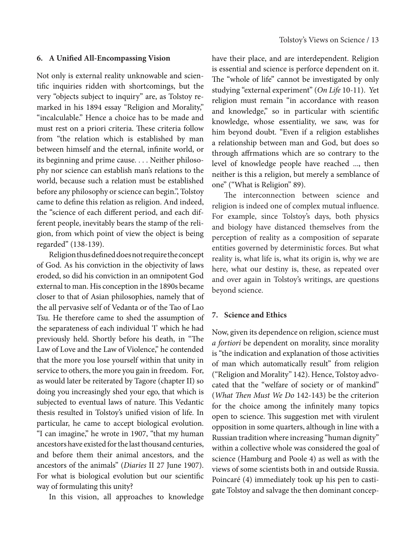#### **6. A Unified All-Encompassing Vision**

Not only is external reality unknowable and scientific inquiries ridden with shortcomings, but the very "objects subject to inquiry" are, as Tolstoy remarked in his 1894 essay "Religion and Morality," "incalculable." Hence a choice has to be made and must rest on a priori criteria. These criteria follow from "the relation which is established by man between himself and the eternal, infinite world, or its beginning and prime cause. . . . Neither philosophy nor science can establish man's relations to the world, because such a relation must be established before any philosophy or science can begin.", Tolstoy came to define this relation as religion. And indeed, the "science of each different period, and each different people, inevitably bears the stamp of the religion, from which point of view the object is being regarded" (138-139).

Religion thus defined does not require the concept of God. As his conviction in the objectivity of laws eroded, so did his conviction in an omnipotent God external to man. His conception in the 1890s became closer to that of Asian philosophies, namely that of the all pervasive self of Vedanta or of the Tao of Lao Tsu. He therefore came to shed the assumption of the separateness of each individual 'I' which he had previously held. Shortly before his death, in "The Law of Love and the Law of Violence," he contended that the more you lose yourself within that unity in service to others, the more you gain in freedom. For, as would later be reiterated by Tagore (chapter II) so doing you increasingly shed your ego, that which is subjected to eventual laws of nature. This Vedantic thesis resulted in Tolstoy's unified vision of life. In particular, he came to accept biological evolution. "I can imagine," he wrote in 1907, "that my human ancestors have existed for the last thousand centuries, and before them their animal ancestors, and the ancestors of the animals" (*Diaries* II 27 June 1907). For what is biological evolution but our scientific way of formulating this unity?

In this vision, all approaches to knowledge

have their place, and are interdependent. Religion is essential and science is perforce dependent on it. The "whole of life" cannot be investigated by only studying "external experiment" (*On Life* 10-11). Yet religion must remain "in accordance with reason and knowledge," so in particular with scientific knowledge, whose essentiality, we saw, was for him beyond doubt. "Even if a religion establishes a relationship between man and God, but does so through affrmations which are so contrary to the level of knowledge people have reached ..., then neither is this a religion, but merely a semblance of one" ("What is Religion" 89).

The interconnection between science and religion is indeed one of complex mutual influence. For example, since Tolstoy's days, both physics and biology have distanced themselves from the perception of reality as a composition of separate entities governed by deterministic forces. But what reality is, what life is, what its origin is, why we are here, what our destiny is, these, as repeated over and over again in Tolstoy's writings, are questions beyond science.

### **7. Science and Ethics**

Now, given its dependence on religion, science must *a fortiori* be dependent on morality, since morality is "the indication and explanation of those activities of man which automatically result" from religion ("Religion and Morality" 142). Hence, Tolstoy advocated that the "welfare of society or of mankind" (*What Then Must We Do* 142-143) be the criterion for the choice among the infinitely many topics open to science. This suggestion met with virulent opposition in some quarters, although in line with a Russian tradition where increasing "human dignity" within a collective whole was considered the goal of science (Hamburg and Poole 4) as well as with the views of some scientists both in and outside Russia. Poincaré (4) immediately took up his pen to castigate Tolstoy and salvage the then dominant concep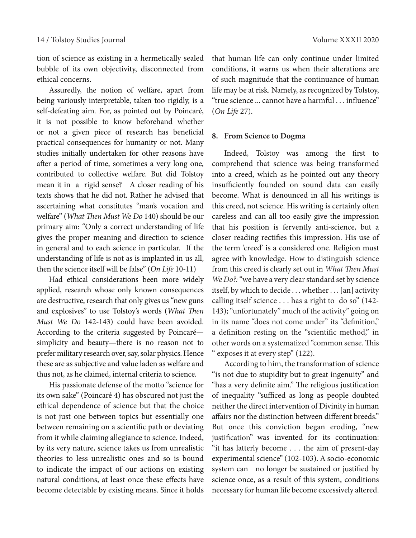tion of science as existing in a hermetically sealed bubble of its own objectivity, disconnected from ethical concerns.

Assuredly, the notion of welfare, apart from being variously interpretable, taken too rigidly, is a self-defeating aim. For, as pointed out by Poincaré, it is not possible to know beforehand whether or not a given piece of research has beneficial practical consequences for humanity or not. Many studies initially undertaken for other reasons have after a period of time, sometimes a very long one, contributed to collective welfare. But did Tolstoy mean it in a rigid sense? A closer reading of his texts shows that he did not. Rather he advised that ascertaining what constitutes "man's vocation and welfare" (*What Then Must We Do* 140) should be our primary aim: "Only a correct understanding of life gives the proper meaning and direction to science in general and to each science in particular. If the understanding of life is not as is implanted in us all, then the science itself will be false" (*On Life* 10-11)

Had ethical considerations been more widely applied, research whose only known consequences are destructive, research that only gives us "new guns and explosives" to use Tolstoy's words (*What Then Must We Do* 142-143) could have been avoided. According to the criteria suggested by Poincaré simplicity and beauty—there is no reason not to prefer military research over, say, solar physics. Hence these are as subjective and value laden as welfare and thus not, as he claimed, internal criteria to science.

His passionate defense of the motto "science for its own sake" (Poincaré 4) has obscured not just the ethical dependence of science but that the choice is not just one between topics but essentially one between remaining on a scientific path or deviating from it while claiming allegiance to science. Indeed, by its very nature, science takes us from unrealistic theories to less unrealistic ones and so is bound to indicate the impact of our actions on existing natural conditions, at least once these effects have become detectable by existing means. Since it holds

that human life can only continue under limited conditions, it warns us when their alterations are of such magnitude that the continuance of human life may be at risk. Namely, as recognized by Tolstoy, "true science ... cannot have a harmful . . . influence" (*On Life* 27).

#### **8. From Science to Dogma**

Indeed, Tolstoy was among the first to comprehend that science was being transformed into a creed, which as he pointed out any theory insufficiently founded on sound data can easily become. What is denounced in all his writings is this creed, not science. His writing is certainly often careless and can all too easily give the impression that his position is fervently anti-science, but a closer reading rectifies this impression. His use of the term 'creed' is a considered one. Religion must agree with knowledge. How to distinguish science from this creed is clearly set out in *What Then Must We Do?:* "we have a very clear standard set by science itself, by which to decide . . . whether . . . [an] activity calling itself science . . . has a right to do so" (142- 143); "unfortunately" much of the activity" going on in its name "does not come under" its "definition," a definition resting on the "scientific method," in other words on a systematized "common sense. This " exposes it at every step" (122).

According to him, the transformation of science "is not due to stupidity but to great ingenuity" and "has a very definite aim." The religious justification of inequality "sufficed as long as people doubted neither the direct intervention of Divinity in human affairs nor the distinction between different breeds." But once this conviction began eroding, "new justification" was invented for its continuation: "it has latterly become . . . the aim of present-day experimental science" (102-103). A socio-economic system can no longer be sustained or justified by science once, as a result of this system, conditions necessary for human life become excessively altered.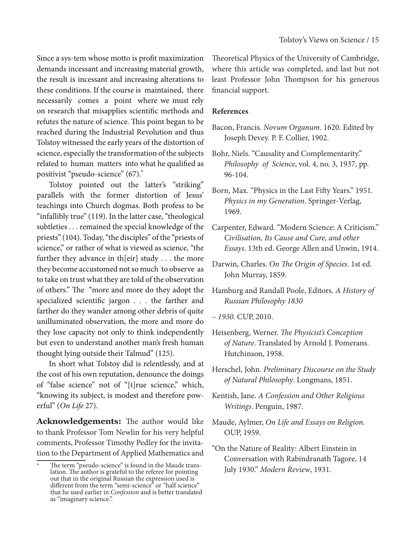Since a sys-tem whose motto is profit maximization demands incessant and increasing material growth, the result is incessant and increasing alterations to these conditions. If the course is maintained, there necessarily comes a point where we must rely on research that misapplies scientific methods and refutes the nature of science. This point began to be reached during the Industrial Revolution and thus Tolstoy witnessed the early years of the distortion of science, especially the transformation of the subjects related to human matters into what he qualified as positivist "pseudo-science" (67).\*

Tolstoy pointed out the latter's "striking" parallels with the former distortion of Jesus' teachings into Church dogmas. Both profess to be "infallibly true" (119). In the latter case, "theological subtleties . . . remained the special knowledge of the priests" (104). Today, "the disciples" of the "priests of science," or rather of what is viewed as science, "the further they advance in th[eir] study . . . the more they become accustomed not so much to observe as to take on trust what they are told of the observation of others." The "more and more do they adopt the specialized scientific jargon . . . the farther and farther do they wander among other debris of quite unilluminated observation, the more and more do they lose capacity not only to think independently but even to understand another man's fresh human thought lying outside their Talmud" (125).

In short what Tolstoy did is relentlessly, and at the cost of his own reputation, denounce the doings of "false science" not of "[t]rue science," which, "knowing its subject, is modest and therefore powerful" (*On Life* 27).

**Acknowledgements:** The author would like to thank Professor Tom Newlin for his very helpful comments, Professor Timothy Pedley for the invitation to the Department of Applied Mathematics and

Theoretical Physics of the University of Cambridge, where this article was completed, and last but not least Professor John Thompson for his generous financial support.

# **References**

- Bacon, Francis. *Novum Organum*. 1620. Edited by Joseph Devey. P. F. Collier, 1902.
- Bohr, Niels. "Causality and Complementarity." *Philosophy of Science*, vol. 4, no. 3, 1937, pp. 96-104.
- Born, Max. "Physics in the Last Fifty Years." 1951. *Physics in my Generation*. Springer-Verlag, 1969.
- Carpenter, Edward. "Modern Science: A Criticism." *Civilisation, Its Cause and Cure, and other Essays*. 13th ed. George Allen and Unwin, 1914.
- Darwin, Charles. *On The Origin of Species*. 1st ed. John Murray, 1859.
- Hamburg and Randall Poole, Editors. *A History of Russian Philosophy 1830*
- *1930*. CUP, 2010.
- Heisenberg, Werner. *The Physicist's Conception of Nature*. Translated by Arnold J. Pomerans. Hutchinson, 1958.
- Herschel, John. *Preliminary Discourse on the Study of Natural Philosophy*. Longmans, 1851.
- Kentish, Jane. *A Confession and Other Religious Writings*. Penguin, 1987.
- Maude, Aylmer, *On Life and Essays on Religion*. OUP, 1959.
- "On the Nature of Reality: Albert Einstein in Conversation with Rabindranath Tagore, 14 July 1930." *Modern Review*, 1931.

The term "pseudo-science" is found in the Maude translation. The author is grateful to the referee for pointing out that in the original Russian the expression used is different from the term "semi-science" or "half science" that he used earlier in *Confession* and is better translated as "imaginary science.".